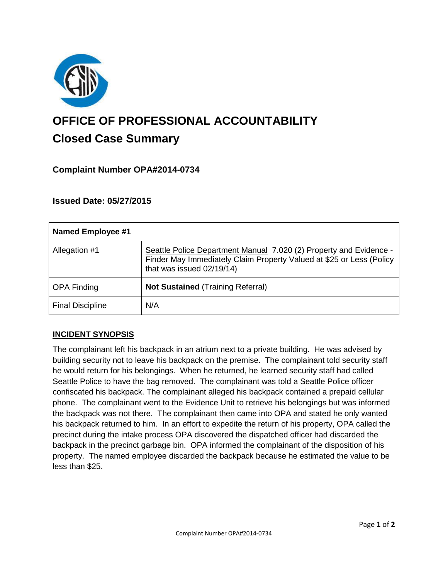

# **OFFICE OF PROFESSIONAL ACCOUNTABILITY Closed Case Summary**

# **Complaint Number OPA#2014-0734**

# **Issued Date: 05/27/2015**

| <b>Named Employee #1</b> |                                                                                                                                                                         |
|--------------------------|-------------------------------------------------------------------------------------------------------------------------------------------------------------------------|
| Allegation #1            | Seattle Police Department Manual 7.020 (2) Property and Evidence -<br>Finder May Immediately Claim Property Valued at \$25 or Less (Policy<br>that was issued 02/19/14) |
| <b>OPA Finding</b>       | <b>Not Sustained (Training Referral)</b>                                                                                                                                |
| <b>Final Discipline</b>  | N/A                                                                                                                                                                     |

## **INCIDENT SYNOPSIS**

The complainant left his backpack in an atrium next to a private building. He was advised by building security not to leave his backpack on the premise. The complainant told security staff he would return for his belongings. When he returned, he learned security staff had called Seattle Police to have the bag removed. The complainant was told a Seattle Police officer confiscated his backpack. The complainant alleged his backpack contained a prepaid cellular phone. The complainant went to the Evidence Unit to retrieve his belongings but was informed the backpack was not there. The complainant then came into OPA and stated he only wanted his backpack returned to him. In an effort to expedite the return of his property, OPA called the precinct during the intake process OPA discovered the dispatched officer had discarded the backpack in the precinct garbage bin. OPA informed the complainant of the disposition of his property. The named employee discarded the backpack because he estimated the value to be less than \$25.